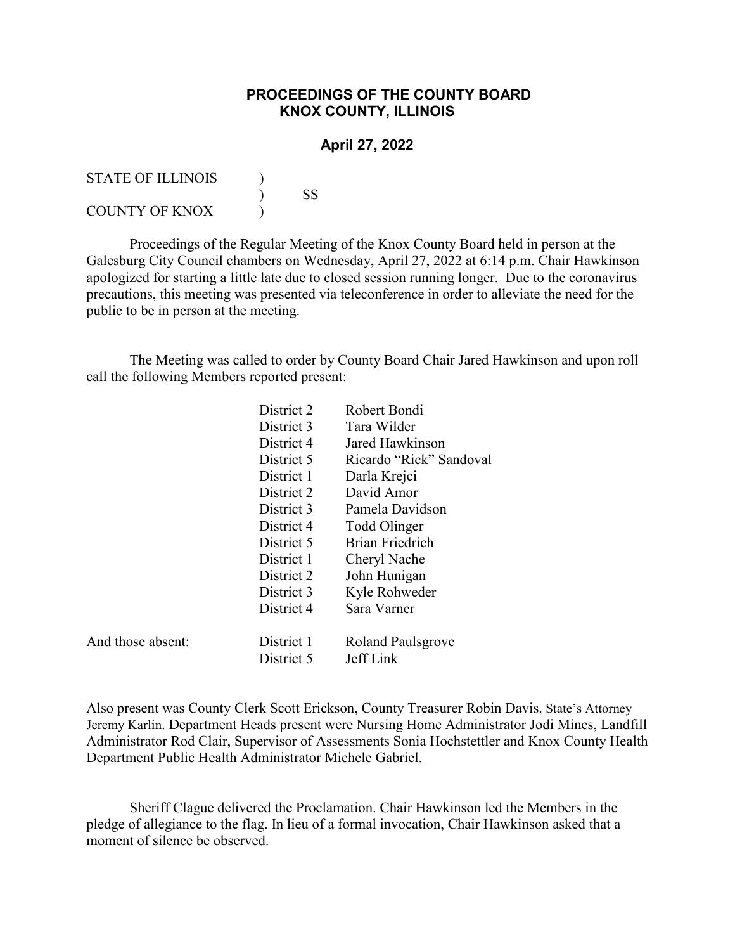## **PROCEEDINGS OF THE COUNTY BOARD KNOX COUNTY, ILLINOIS**

## **April 27, 2022**

| <b>STATE OF ILLINOIS</b> |    |
|--------------------------|----|
|                          | SS |
| COUNTY OF KNOX           |    |

Proceedings of the Regular Meeting of the Knox County Board held in person at the Galesburg City Council chambers on Wednesday, April 27, 2022 at 6:14 p.m. Chair Hawkinson apologized for starting a little late due to closed session running longer. Due to the coronavirus precautions, this meeting was presented via teleconference in order to alleviate the need for the public to be in person at the meeting.

The Meeting was called to order by County Board Chair Jared Hawkinson and upon roll call the following Members reported present:

|                   | District 2 | Robert Bondi             |
|-------------------|------------|--------------------------|
|                   | District 3 | Tara Wilder              |
|                   | District 4 | Jared Hawkinson          |
|                   | District 5 | Ricardo "Rick" Sandoval  |
|                   | District 1 | Darla Krejci             |
|                   | District 2 | David Amor               |
|                   | District 3 | Pamela Davidson          |
|                   | District 4 | Todd Olinger             |
|                   | District 5 | Brian Friedrich          |
|                   | District 1 | Cheryl Nache             |
|                   | District 2 | John Hunigan             |
|                   | District 3 | Kyle Rohweder            |
|                   | District 4 | Sara Varner              |
| And those absent: | District 1 | <b>Roland Paulsgrove</b> |
|                   | District 5 | Jeff Link                |

Also present was County Clerk Scott Erickson, County Treasurer Robin Davis. State's Attorney Jeremy Karlin. Department Heads present were Nursing Home Administrator Jodi Mines, Landfill Administrator Rod Clair, Supervisor of Assessments Sonia Hochstettler and Knox County Health Department Public Health Administrator Michele Gabriel.

Sheriff Clague delivered the Proclamation. Chair Hawkinson led the Members in the pledge of allegiance to the flag. In lieu of a formal invocation, Chair Hawkinson asked that a moment of silence be observed.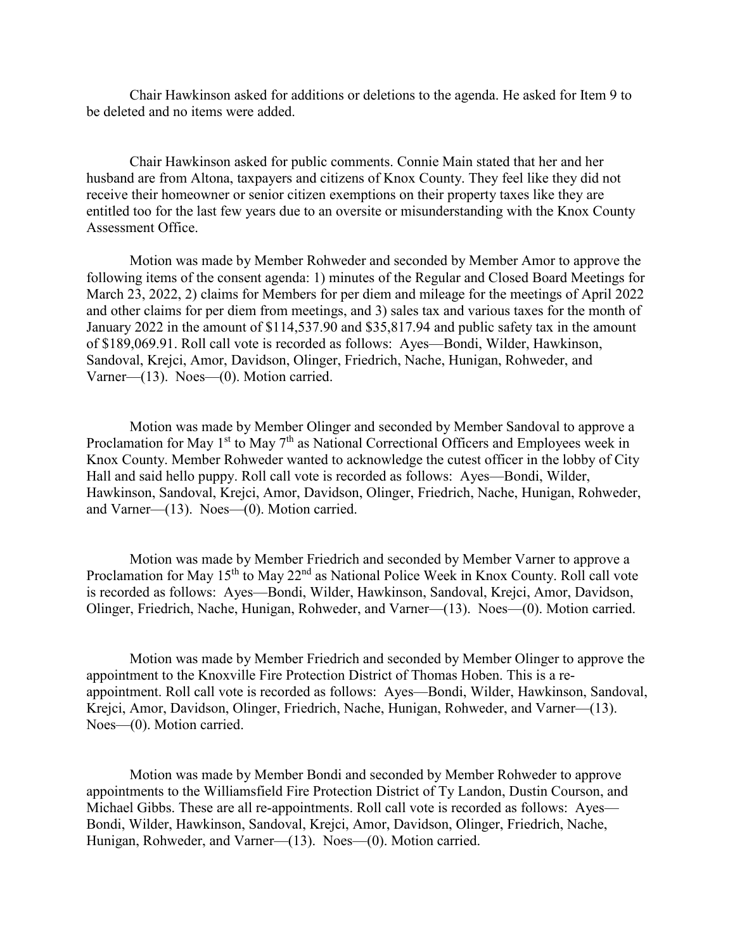Chair Hawkinson asked for additions or deletions to the agenda. He asked for Item 9 to be deleted and no items were added.

Chair Hawkinson asked for public comments. Connie Main stated that her and her husband are from Altona, taxpayers and citizens of Knox County. They feel like they did not receive their homeowner or senior citizen exemptions on their property taxes like they are entitled too for the last few years due to an oversite or misunderstanding with the Knox County Assessment Office.

Motion was made by Member Rohweder and seconded by Member Amor to approve the following items of the consent agenda: 1) minutes of the Regular and Closed Board Meetings for March 23, 2022, 2) claims for Members for per diem and mileage for the meetings of April 2022 and other claims for per diem from meetings, and 3) sales tax and various taxes for the month of January 2022 in the amount of \$114,537.90 and \$35,817.94 and public safety tax in the amount of \$189,069.91. Roll call vote is recorded as follows: Ayes—Bondi, Wilder, Hawkinson, Sandoval, Krejci, Amor, Davidson, Olinger, Friedrich, Nache, Hunigan, Rohweder, and Varner—(13). Noes—(0). Motion carried.

Motion was made by Member Olinger and seconded by Member Sandoval to approve a Proclamation for May  $1^{st}$  to May  $7^{th}$  as National Correctional Officers and Employees week in Knox County. Member Rohweder wanted to acknowledge the cutest officer in the lobby of City Hall and said hello puppy. Roll call vote is recorded as follows: Ayes—Bondi, Wilder, Hawkinson, Sandoval, Krejci, Amor, Davidson, Olinger, Friedrich, Nache, Hunigan, Rohweder, and Varner—(13). Noes—(0). Motion carried.

Motion was made by Member Friedrich and seconded by Member Varner to approve a Proclamation for May 15<sup>th</sup> to May 22<sup>nd</sup> as National Police Week in Knox County. Roll call vote is recorded as follows: Ayes—Bondi, Wilder, Hawkinson, Sandoval, Krejci, Amor, Davidson, Olinger, Friedrich, Nache, Hunigan, Rohweder, and Varner—(13). Noes—(0). Motion carried.

Motion was made by Member Friedrich and seconded by Member Olinger to approve the appointment to the Knoxville Fire Protection District of Thomas Hoben. This is a reappointment. Roll call vote is recorded as follows: Ayes—Bondi, Wilder, Hawkinson, Sandoval, Krejci, Amor, Davidson, Olinger, Friedrich, Nache, Hunigan, Rohweder, and Varner—(13). Noes—(0). Motion carried.

Motion was made by Member Bondi and seconded by Member Rohweder to approve appointments to the Williamsfield Fire Protection District of Ty Landon, Dustin Courson, and Michael Gibbs. These are all re-appointments. Roll call vote is recorded as follows: Ayes— Bondi, Wilder, Hawkinson, Sandoval, Krejci, Amor, Davidson, Olinger, Friedrich, Nache, Hunigan, Rohweder, and Varner—(13). Noes—(0). Motion carried.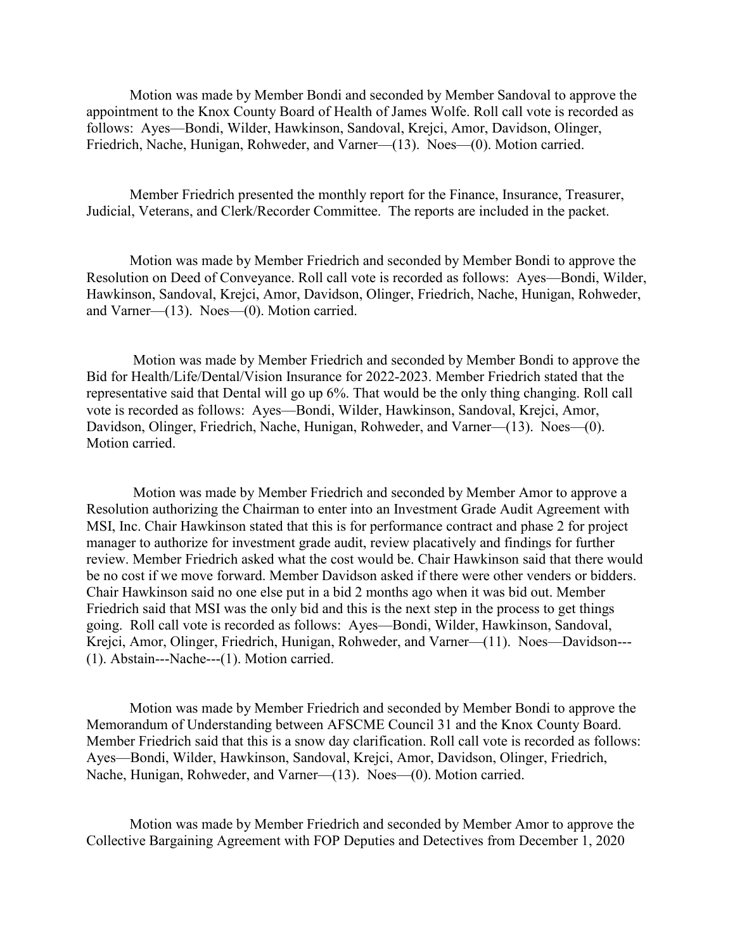Motion was made by Member Bondi and seconded by Member Sandoval to approve the appointment to the Knox County Board of Health of James Wolfe. Roll call vote is recorded as follows: Ayes—Bondi, Wilder, Hawkinson, Sandoval, Krejci, Amor, Davidson, Olinger, Friedrich, Nache, Hunigan, Rohweder, and Varner—(13). Noes—(0). Motion carried.

Member Friedrich presented the monthly report for the Finance, Insurance, Treasurer, Judicial, Veterans, and Clerk/Recorder Committee. The reports are included in the packet.

Motion was made by Member Friedrich and seconded by Member Bondi to approve the Resolution on Deed of Conveyance. Roll call vote is recorded as follows: Ayes—Bondi, Wilder, Hawkinson, Sandoval, Krejci, Amor, Davidson, Olinger, Friedrich, Nache, Hunigan, Rohweder, and Varner—(13). Noes—(0). Motion carried.

Motion was made by Member Friedrich and seconded by Member Bondi to approve the Bid for Health/Life/Dental/Vision Insurance for 2022-2023. Member Friedrich stated that the representative said that Dental will go up 6%. That would be the only thing changing. Roll call vote is recorded as follows: Ayes—Bondi, Wilder, Hawkinson, Sandoval, Krejci, Amor, Davidson, Olinger, Friedrich, Nache, Hunigan, Rohweder, and Varner—(13). Noes—(0). Motion carried.

Motion was made by Member Friedrich and seconded by Member Amor to approve a Resolution authorizing the Chairman to enter into an Investment Grade Audit Agreement with MSI, Inc. Chair Hawkinson stated that this is for performance contract and phase 2 for project manager to authorize for investment grade audit, review placatively and findings for further review. Member Friedrich asked what the cost would be. Chair Hawkinson said that there would be no cost if we move forward. Member Davidson asked if there were other venders or bidders. Chair Hawkinson said no one else put in a bid 2 months ago when it was bid out. Member Friedrich said that MSI was the only bid and this is the next step in the process to get things going. Roll call vote is recorded as follows: Ayes—Bondi, Wilder, Hawkinson, Sandoval, Krejci, Amor, Olinger, Friedrich, Hunigan, Rohweder, and Varner—(11). Noes—Davidson--- (1). Abstain---Nache---(1). Motion carried.

Motion was made by Member Friedrich and seconded by Member Bondi to approve the Memorandum of Understanding between AFSCME Council 31 and the Knox County Board. Member Friedrich said that this is a snow day clarification. Roll call vote is recorded as follows: Ayes—Bondi, Wilder, Hawkinson, Sandoval, Krejci, Amor, Davidson, Olinger, Friedrich, Nache, Hunigan, Rohweder, and Varner—(13). Noes—(0). Motion carried.

Motion was made by Member Friedrich and seconded by Member Amor to approve the Collective Bargaining Agreement with FOP Deputies and Detectives from December 1, 2020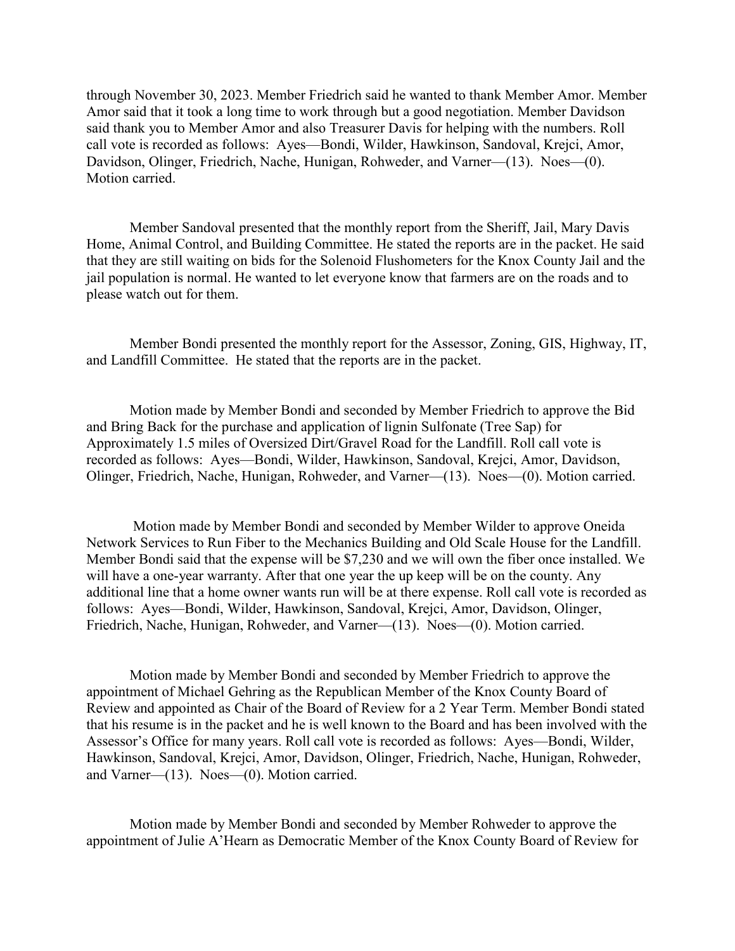through November 30, 2023. Member Friedrich said he wanted to thank Member Amor. Member Amor said that it took a long time to work through but a good negotiation. Member Davidson said thank you to Member Amor and also Treasurer Davis for helping with the numbers. Roll call vote is recorded as follows: Ayes—Bondi, Wilder, Hawkinson, Sandoval, Krejci, Amor, Davidson, Olinger, Friedrich, Nache, Hunigan, Rohweder, and Varner—(13). Noes—(0). Motion carried.

Member Sandoval presented that the monthly report from the Sheriff, Jail, Mary Davis Home, Animal Control, and Building Committee. He stated the reports are in the packet. He said that they are still waiting on bids for the Solenoid Flushometers for the Knox County Jail and the jail population is normal. He wanted to let everyone know that farmers are on the roads and to please watch out for them.

Member Bondi presented the monthly report for the Assessor, Zoning, GIS, Highway, IT, and Landfill Committee. He stated that the reports are in the packet.

Motion made by Member Bondi and seconded by Member Friedrich to approve the Bid and Bring Back for the purchase and application of lignin Sulfonate (Tree Sap) for Approximately 1.5 miles of Oversized Dirt/Gravel Road for the Landfill. Roll call vote is recorded as follows: Ayes—Bondi, Wilder, Hawkinson, Sandoval, Krejci, Amor, Davidson, Olinger, Friedrich, Nache, Hunigan, Rohweder, and Varner—(13). Noes—(0). Motion carried.

Motion made by Member Bondi and seconded by Member Wilder to approve Oneida Network Services to Run Fiber to the Mechanics Building and Old Scale House for the Landfill. Member Bondi said that the expense will be \$7,230 and we will own the fiber once installed. We will have a one-year warranty. After that one year the up keep will be on the county. Any additional line that a home owner wants run will be at there expense. Roll call vote is recorded as follows: Ayes—Bondi, Wilder, Hawkinson, Sandoval, Krejci, Amor, Davidson, Olinger, Friedrich, Nache, Hunigan, Rohweder, and Varner—(13). Noes—(0). Motion carried.

Motion made by Member Bondi and seconded by Member Friedrich to approve the appointment of Michael Gehring as the Republican Member of the Knox County Board of Review and appointed as Chair of the Board of Review for a 2 Year Term. Member Bondi stated that his resume is in the packet and he is well known to the Board and has been involved with the Assessor's Office for many years. Roll call vote is recorded as follows: Ayes—Bondi, Wilder, Hawkinson, Sandoval, Krejci, Amor, Davidson, Olinger, Friedrich, Nache, Hunigan, Rohweder, and Varner—(13). Noes—(0). Motion carried.

Motion made by Member Bondi and seconded by Member Rohweder to approve the appointment of Julie A'Hearn as Democratic Member of the Knox County Board of Review for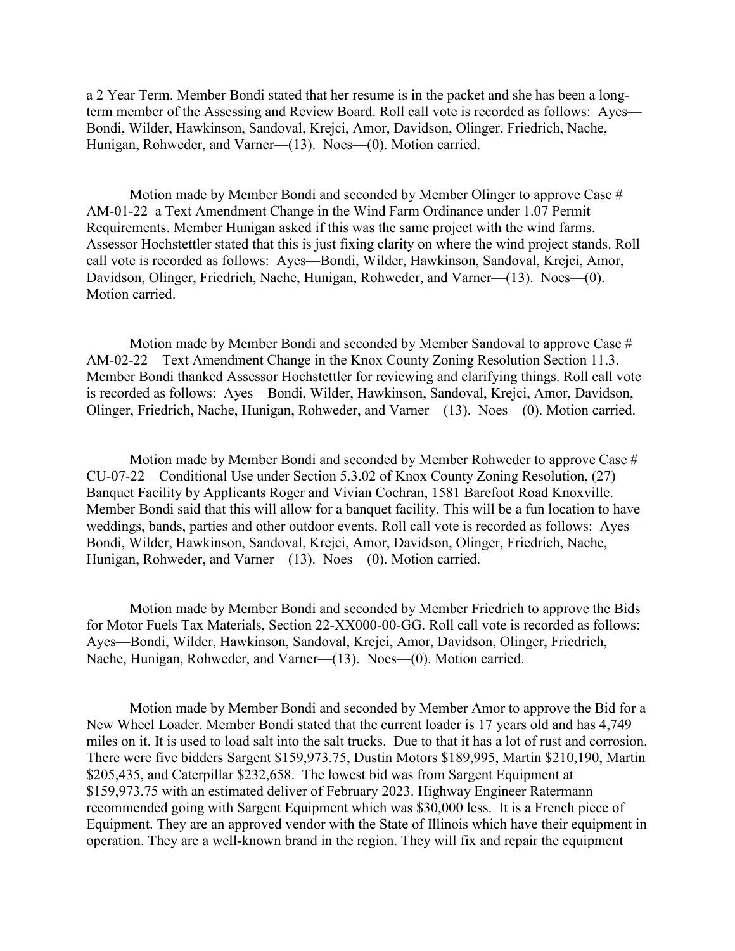a 2 Year Term. Member Bondi stated that her resume is in the packet and she has been a longterm member of the Assessing and Review Board. Roll call vote is recorded as follows: Ayes— Bondi, Wilder, Hawkinson, Sandoval, Krejci, Amor, Davidson, Olinger, Friedrich, Nache, Hunigan, Rohweder, and Varner—(13). Noes—(0). Motion carried.

Motion made by Member Bondi and seconded by Member Olinger to approve Case # AM-01-22 a Text Amendment Change in the Wind Farm Ordinance under 1.07 Permit Requirements. Member Hunigan asked if this was the same project with the wind farms. Assessor Hochstettler stated that this is just fixing clarity on where the wind project stands. Roll call vote is recorded as follows: Ayes—Bondi, Wilder, Hawkinson, Sandoval, Krejci, Amor, Davidson, Olinger, Friedrich, Nache, Hunigan, Rohweder, and Varner—(13). Noes—(0). Motion carried.

Motion made by Member Bondi and seconded by Member Sandoval to approve Case # AM-02-22 – Text Amendment Change in the Knox County Zoning Resolution Section 11.3. Member Bondi thanked Assessor Hochstettler for reviewing and clarifying things. Roll call vote is recorded as follows: Ayes—Bondi, Wilder, Hawkinson, Sandoval, Krejci, Amor, Davidson, Olinger, Friedrich, Nache, Hunigan, Rohweder, and Varner—(13). Noes—(0). Motion carried.

Motion made by Member Bondi and seconded by Member Rohweder to approve Case # CU-07-22 – Conditional Use under Section 5.3.02 of Knox County Zoning Resolution, (27) Banquet Facility by Applicants Roger and Vivian Cochran, 1581 Barefoot Road Knoxville. Member Bondi said that this will allow for a banquet facility. This will be a fun location to have weddings, bands, parties and other outdoor events. Roll call vote is recorded as follows: Ayes— Bondi, Wilder, Hawkinson, Sandoval, Krejci, Amor, Davidson, Olinger, Friedrich, Nache, Hunigan, Rohweder, and Varner—(13). Noes—(0). Motion carried.

Motion made by Member Bondi and seconded by Member Friedrich to approve the Bids for Motor Fuels Tax Materials, Section 22-XX000-00-GG. Roll call vote is recorded as follows: Ayes—Bondi, Wilder, Hawkinson, Sandoval, Krejci, Amor, Davidson, Olinger, Friedrich, Nache, Hunigan, Rohweder, and Varner—(13). Noes—(0). Motion carried.

Motion made by Member Bondi and seconded by Member Amor to approve the Bid for a New Wheel Loader. Member Bondi stated that the current loader is 17 years old and has 4,749 miles on it. It is used to load salt into the salt trucks. Due to that it has a lot of rust and corrosion. There were five bidders Sargent \$159,973.75, Dustin Motors \$189,995, Martin \$210,190, Martin \$205,435, and Caterpillar \$232,658. The lowest bid was from Sargent Equipment at \$159,973.75 with an estimated deliver of February 2023. Highway Engineer Ratermann recommended going with Sargent Equipment which was \$30,000 less. It is a French piece of Equipment. They are an approved vendor with the State of Illinois which have their equipment in operation. They are a well-known brand in the region. They will fix and repair the equipment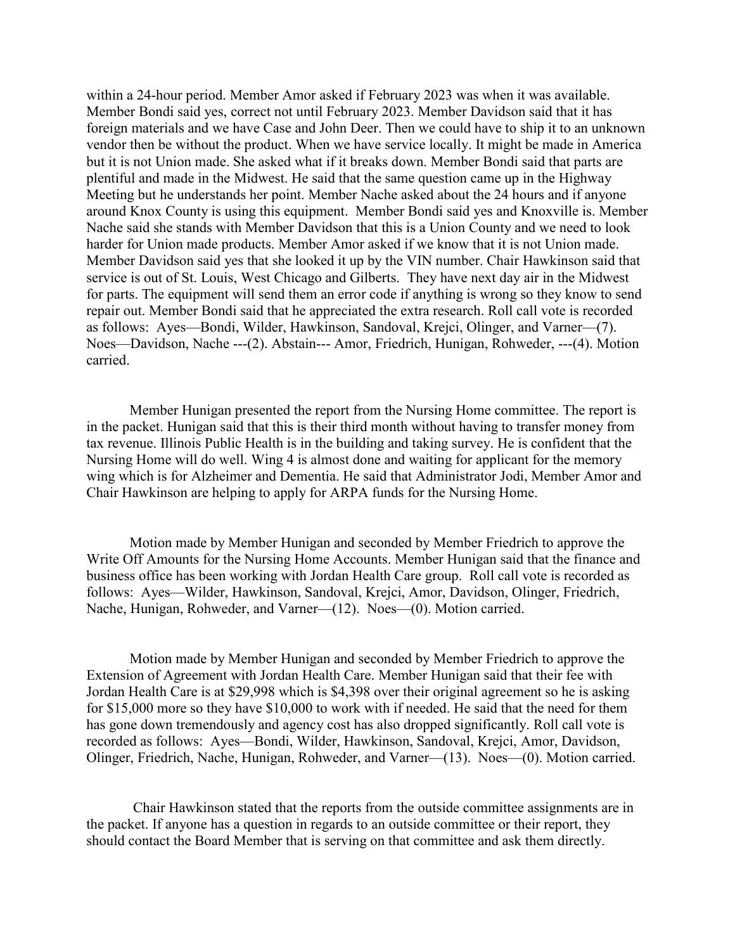within a 24-hour period. Member Amor asked if February 2023 was when it was available. Member Bondi said yes, correct not until February 2023. Member Davidson said that it has foreign materials and we have Case and John Deer. Then we could have to ship it to an unknown vendor then be without the product. When we have service locally. It might be made in America but it is not Union made. She asked what if it breaks down. Member Bondi said that parts are plentiful and made in the Midwest. He said that the same question came up in the Highway Meeting but he understands her point. Member Nache asked about the 24 hours and if anyone around Knox County is using this equipment. Member Bondi said yes and Knoxville is. Member Nache said she stands with Member Davidson that this is a Union County and we need to look harder for Union made products. Member Amor asked if we know that it is not Union made. Member Davidson said yes that she looked it up by the VIN number. Chair Hawkinson said that service is out of St. Louis, West Chicago and Gilberts. They have next day air in the Midwest for parts. The equipment will send them an error code if anything is wrong so they know to send repair out. Member Bondi said that he appreciated the extra research. Roll call vote is recorded as follows: Ayes—Bondi, Wilder, Hawkinson, Sandoval, Krejci, Olinger, and Varner—(7). Noes—Davidson, Nache ---(2). Abstain--- Amor, Friedrich, Hunigan, Rohweder, ---(4). Motion carried.

Member Hunigan presented the report from the Nursing Home committee. The report is in the packet. Hunigan said that this is their third month without having to transfer money from tax revenue. Illinois Public Health is in the building and taking survey. He is confident that the Nursing Home will do well. Wing 4 is almost done and waiting for applicant for the memory wing which is for Alzheimer and Dementia. He said that Administrator Jodi, Member Amor and Chair Hawkinson are helping to apply for ARPA funds for the Nursing Home.

Motion made by Member Hunigan and seconded by Member Friedrich to approve the Write Off Amounts for the Nursing Home Accounts. Member Hunigan said that the finance and business office has been working with Jordan Health Care group. Roll call vote is recorded as follows: Ayes—Wilder, Hawkinson, Sandoval, Krejci, Amor, Davidson, Olinger, Friedrich, Nache, Hunigan, Rohweder, and Varner—(12). Noes—(0). Motion carried.

Motion made by Member Hunigan and seconded by Member Friedrich to approve the Extension of Agreement with Jordan Health Care. Member Hunigan said that their fee with Jordan Health Care is at \$29,998 which is \$4,398 over their original agreement so he is asking for \$15,000 more so they have \$10,000 to work with if needed. He said that the need for them has gone down tremendously and agency cost has also dropped significantly. Roll call vote is recorded as follows: Ayes—Bondi, Wilder, Hawkinson, Sandoval, Krejci, Amor, Davidson, Olinger, Friedrich, Nache, Hunigan, Rohweder, and Varner—(13). Noes—(0). Motion carried.

Chair Hawkinson stated that the reports from the outside committee assignments are in the packet. If anyone has a question in regards to an outside committee or their report, they should contact the Board Member that is serving on that committee and ask them directly.